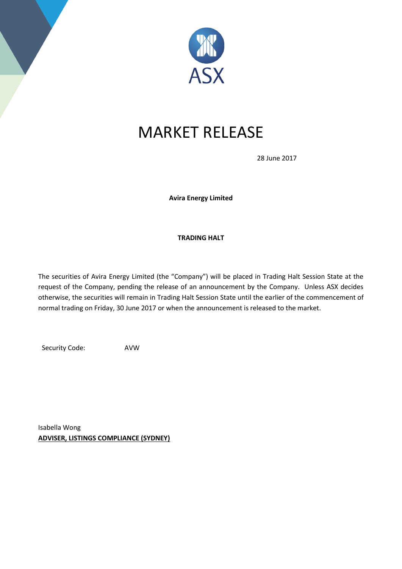

## MARKET RELEASE

28 June 2017

**Avira Energy Limited**

## **TRADING HALT**

The securities of Avira Energy Limited (the "Company") will be placed in Trading Halt Session State at the request of the Company, pending the release of an announcement by the Company. Unless ASX decides otherwise, the securities will remain in Trading Halt Session State until the earlier of the commencement of normal trading on Friday, 30 June 2017 or when the announcement is released to the market.

Security Code: AVW

Isabella Wong **ADVISER, LISTINGS COMPLIANCE (SYDNEY)**